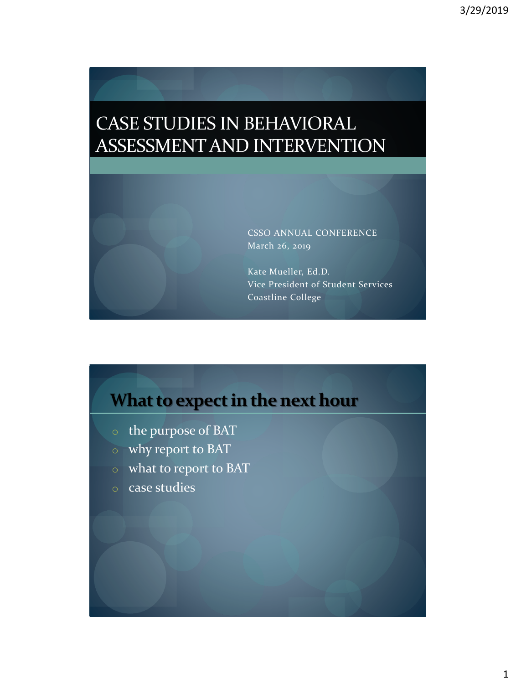# CASE STUDIES IN BEHAVIORAL ASSESSMENT AND INTERVENTION

CSSO ANNUAL CONFERENCE March 26, 2019

Kate Mueller, Ed.D. Vice President of Student Services Coastline College

# **What to expect in the next hour**

- o the purpose of BAT
- o why report to BAT
- o what to report to BAT
- o case studies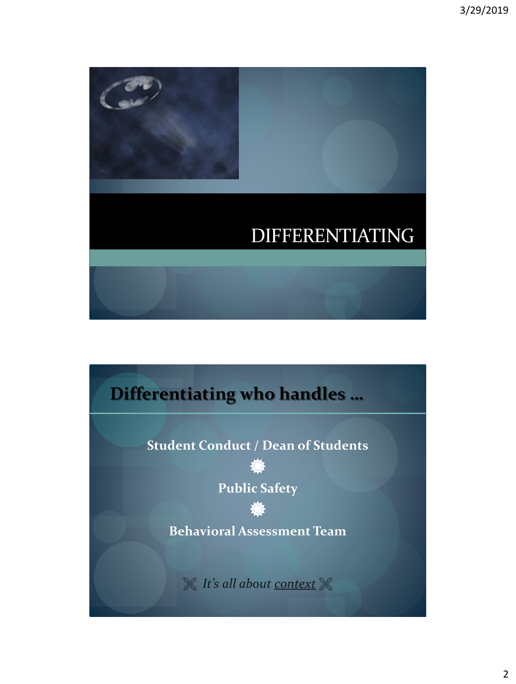

# **Differentiating who handles …**

**Student Conduct / Dean of Students** 豢

**Public Safety**

豢 **Behavioral Assessment Team**

*It's all about context*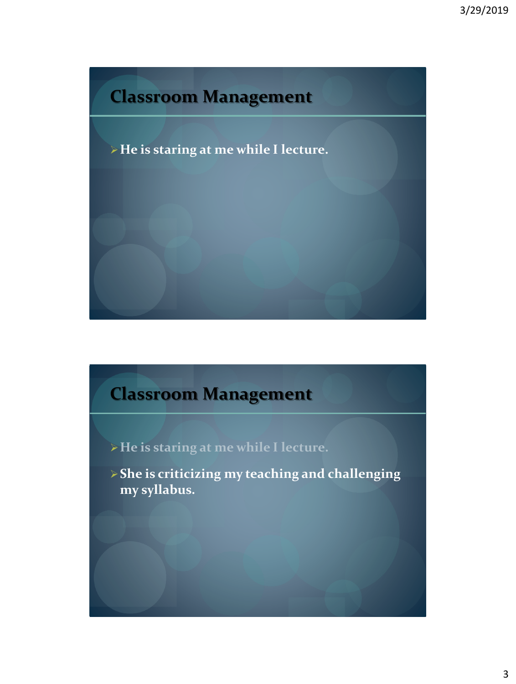# **Classroom Management**

➢**He is staring at me while I lecture.**

# **Classroom Management**

➢**He is staring at me while I lecture.**

➢**She is criticizing my teaching and challenging my syllabus.**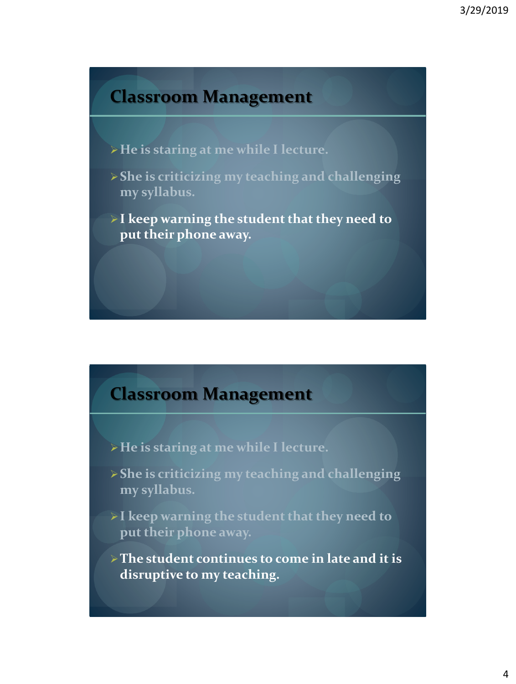## **Classroom Management**

- ➢**He is staring at me while I lecture.**
- ➢**She is criticizing my teaching and challenging my syllabus.**
- ➢**I keep warning the student that they need to put their phone away.**

## **Classroom Management**

- ➢**He is staring at me while I lecture.**
- ➢**She is criticizing my teaching and challenging my syllabus.**
- ➢**I keep warning the student that they need to put their phone away.**
- ➢**The student continues to come in late and it is disruptive to my teaching.**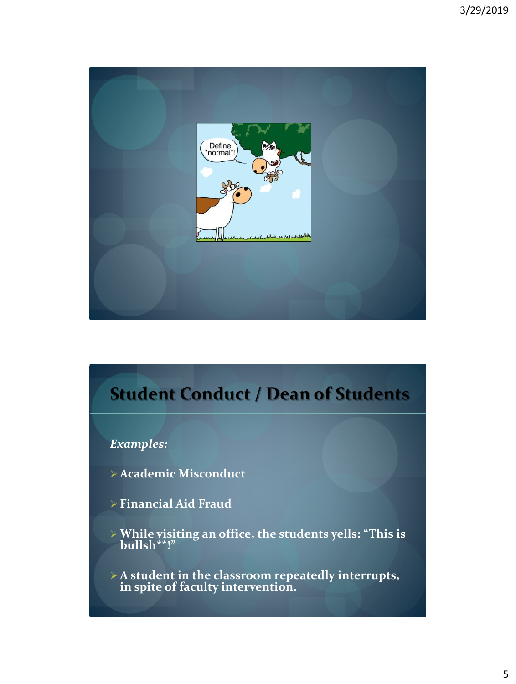

# **Student Conduct / Dean of Students**

#### *Examples:*

- ➢ **Academic Misconduct**
- ➢ **Financial Aid Fraud**
- ➢**While visiting an office, the students yells: "This is bullsh\*\*!"**
- ➢ **A student in the classroom repeatedly interrupts, in spite of faculty intervention.**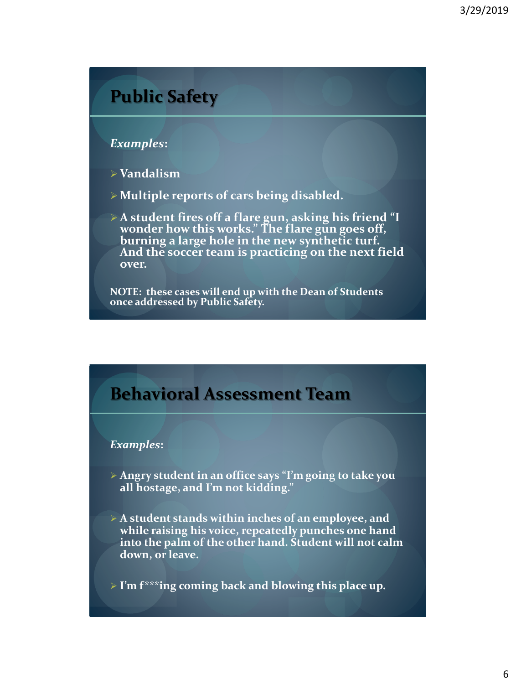## **Public Safety**

#### *Examples***:**

- ➢ **Vandalism**
- ➢ **Multiple reports of cars being disabled.**
- ➢ **A student fires off a flare gun, asking his friend "I wonder how this works." The flare gun goes off, burning a large hole in the new synthetic turf. And the soccer team is practicing on the next field over.**

**NOTE: these cases will end up with the Dean of Students once addressed by Public Safety.**

## **Behavioral Assessment Team**

#### *Examples***:**

- ➢ **Angry student in an office says "I'm going to take you all hostage, and I'm not kidding."**
- ➢ **A student stands within inches of an employee, and while raising his voice, repeatedly punches one hand into the palm of the other hand. Student will not calm down, or leave.**
- ➢ **I'm f\*\*\*ing coming back and blowing this place up.**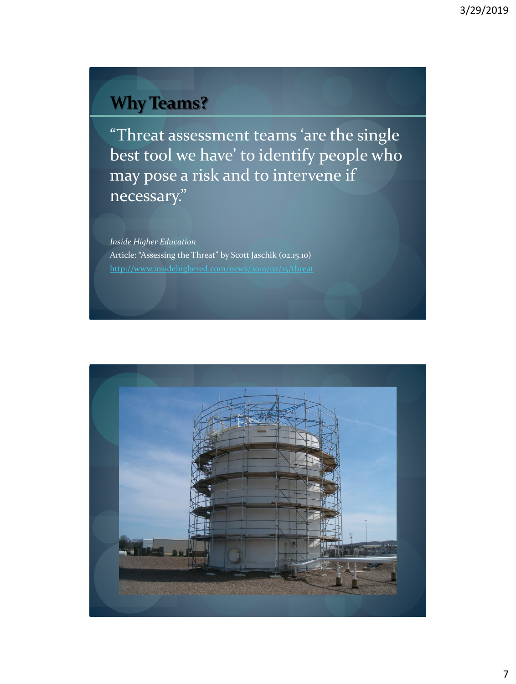# **Why Teams?**

"Threat assessment teams 'are the single best tool we have' to identify people who may pose a risk and to intervene if necessary."

*Inside Higher Education* Article: "Assessing the Threat" by Scott Jaschik (02.15.10) <http://www.insidehighered.com/news/2010/02/15/threat>

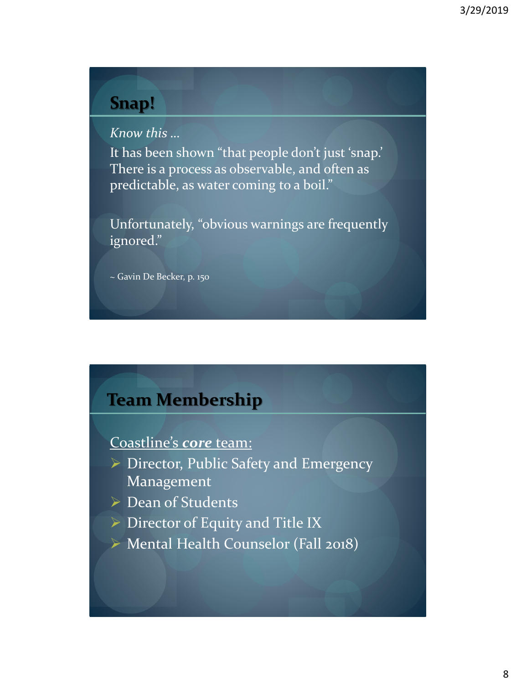## **Snap!**

*Know this …*

It has been shown "that people don't just 'snap.' There is a process as observable, and often as predictable, as water coming to a boil."

Unfortunately, "obvious warnings are frequently ignored."

~ Gavin De Becker, p. 150

### **Team Membership**

Coastline's *core* team:

- ➢ Director, Public Safety and Emergency Management
- ➢ Dean of Students
- ➢ Director of Equity and Title IX
- ➢ Mental Health Counselor (Fall 2018)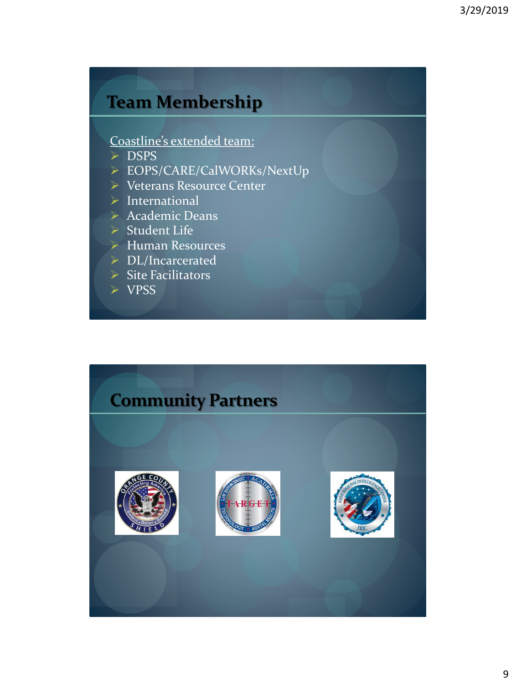## **Team Membership**

#### Coastline's extended team:

- ➢ DSPS
- ➢ EOPS/CARE/CalWORKs/NextUp
- ➢ Veterans Resource Center
- ➢ International
- ➢ Academic Deans
- ➢ Student Life
- ➢ Human Resources
- ➢ DL/Incarcerated
- ➢ Site Facilitators
- ➢ VPSS

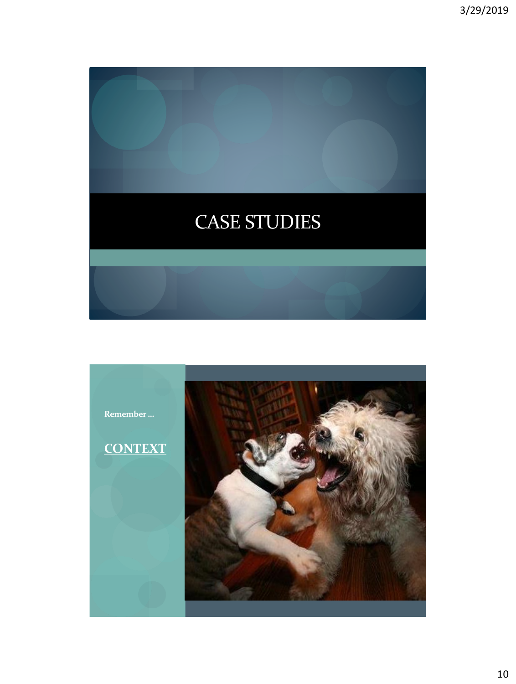

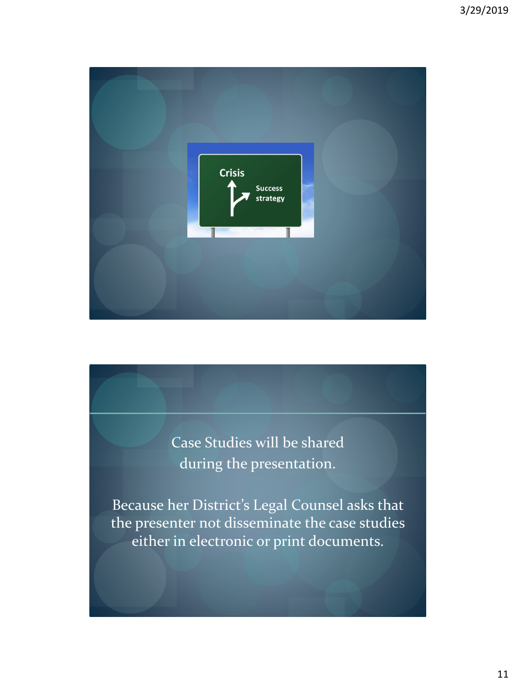

Case Studies will be shared during the presentation.

Because her District's Legal Counsel asks that the presenter not disseminate the case studies either in electronic or print documents.